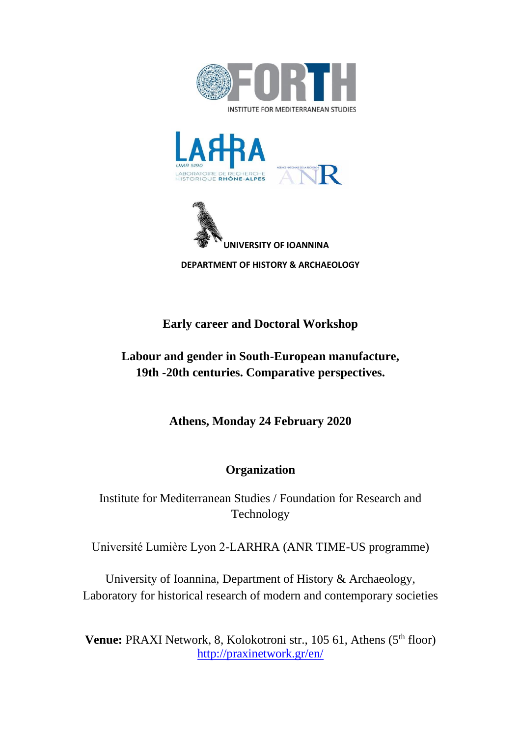





 **DEPARTMENT OF HISTORY & ARCHAEOLOGY** 

## **Early career and Doctoral Workshop**

# **Labour and gender in South-European manufacture, 19th -20th centuries. Comparative perspectives.**

**Athens, Monday 24 February 2020**

# **Organization**

Institute for Mediterranean Studies / Foundation for Research and Technology

Université Lumière Lyon 2-LARHRA (ANR TIME-US programme)

University of Ioannina, Department of History & Archaeology, Laboratory for historical research of modern and contemporary societies

**Venue: PRAXI Network, 8, Kolokotroni str., 105 61, Athens (5<sup>th</sup> floor)** <http://praxinetwork.gr/en/>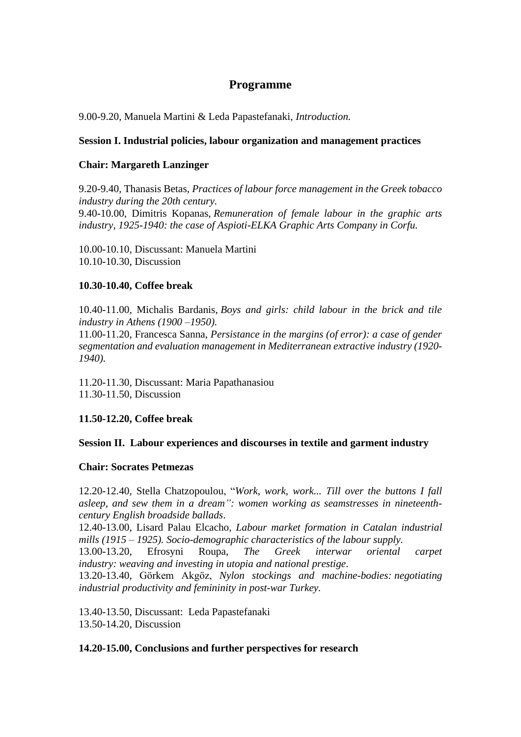### **Programme**

9.00-9.20, Manuela Martini & Leda Papastefanaki, *Introduction.*

#### **Session I. Industrial policies, labour organization and management practices**

#### **Chair: Margareth Lanzinger**

9.20-9.40, Thanasis Betas, *Practices of labour force management in the Greek tobacco industry during the 20th century.* 9.40-10.00, Dimitris Kopanas, *Remuneration of female labour in the graphic arts industry, 1925-1940: the case of Aspioti-ELKA Graphic Arts Company in Corfu.*

10.00-10.10, Discussant: Manuela Martini 10.10-10.30, Discussion

### **10.30-10.40, Coffee break**

10.40-11.00, Michalis Bardanis, *Boys and girls: child labour in the brick and tile industry in Athens (1900 –1950).*

11.00-11.20, Francesca Sanna, *Persistance in the margins (of error): a case of gender segmentation and evaluation management in Mediterranean extractive industry (1920- 1940).*

11.20-11.30, Discussant: Maria Papathanasiou 11.30-11.50, Discussion

### **11.50-12.20, Coffee break**

### **Session II. Labour experiences and discourses in textile and garment industry**

#### **Chair: Socrates Petmezas**

12.20-12.40, Stella Chatzopoulou, "*Work, work, work... Τill over the buttons I fall asleep, and sew them in a dream": women working as seamstresses in nineteenthcentury English broadside ballads*.

12.40-13.00, Lisard Palau Elcacho*, Labour market formation in Catalan industrial mills (1915 – 1925). Socio-demographic characteristics of the labour supply.*

13.00-13.20, Efrosyni Roupa, *The Greek interwar oriental carpet industry: weaving and investing in utopia and national prestige*.

13.20-13.40, Görkem Akgöz, *Nylon stockings and machine-bodies: negotiating industrial productivity and femininity in post-war Turkey.*

13.40-13.50, Discussant: Leda Papastefanaki 13.50-14.20, Discussion

#### **14.20-15.00, Conclusions and further perspectives for research**